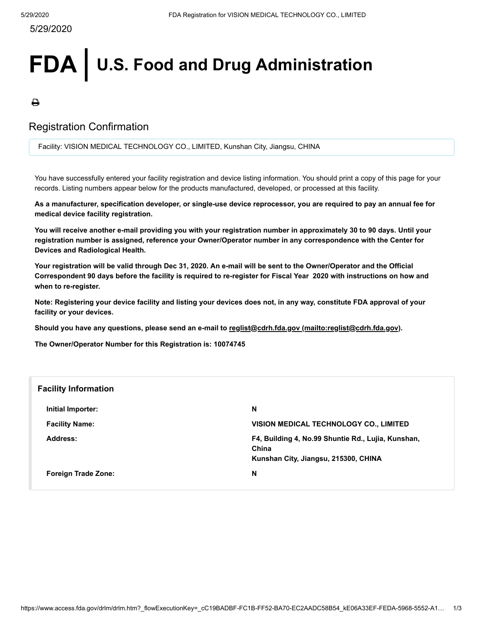# **FDA** | **U.S. Food and Drug Administration**

## ₿

## Registration Confirmation

Facility: VISION MEDICAL TECHNOLOGY CO., LIMITED, Kunshan City, Jiangsu, CHINA

You have successfully entered your facility registration and device listing information. You should print a copy of this page for your records. Listing numbers appear below for the products manufactured, developed, or processed at this facility.

**As a manufacturer, specification developer, or single-use device reprocessor, you are required to pay an annual fee for medical device facility registration.**

**You will receive another e-mail providing you with your registration number in approximately 30 to 90 days. Until your registration number is assigned, reference your Owner/Operator number in any correspondence with the Center for Devices and Radiological Health.**

**Your registration will be valid through Dec 31, 2020. An e-mail will be sent to the Owner/Operator and the Official Correspondent 90 days before the facility is required to re-register for Fiscal Year 2020 with instructions on how and when to re-register.**

**Note: Registering your device facility and listing your devices does not, in any way, constitute FDA approval of your facility or your devices.**

**Should you have any questions, please send an e-mail to [reglist@cdrh.fda.gov \(mailto:reglist@cdrh.fda.gov\)](mailto:reglist@cdrh.fda.gov).**

**The Owner/Operator Number for this Registration is: 10074745**

| <b>Facility Information</b> |                                                                                                     |
|-----------------------------|-----------------------------------------------------------------------------------------------------|
| Initial Importer:           | N                                                                                                   |
| <b>Facility Name:</b>       | <b>VISION MEDICAL TECHNOLOGY CO., LIMITED</b>                                                       |
| Address:                    | F4, Building 4, No.99 Shuntie Rd., Lujia, Kunshan,<br>China<br>Kunshan City, Jiangsu, 215300, CHINA |
| <b>Foreign Trade Zone:</b>  | N                                                                                                   |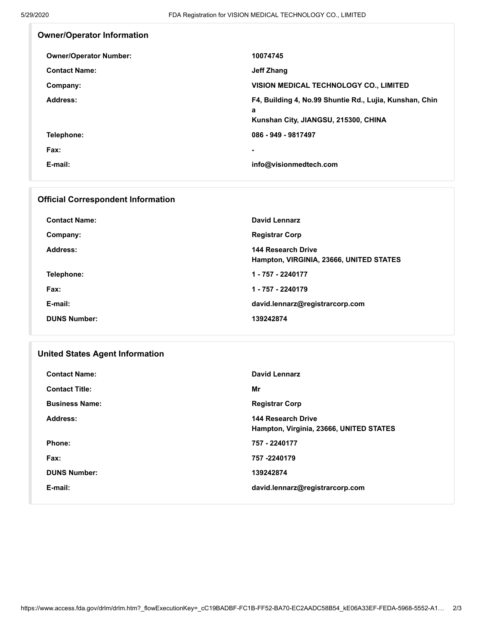| 10074745                                                                                             |
|------------------------------------------------------------------------------------------------------|
| <b>Jeff Zhang</b>                                                                                    |
| <b>VISION MEDICAL TECHNOLOGY CO., LIMITED</b>                                                        |
| F4, Building 4, No.99 Shuntie Rd., Lujia, Kunshan, Chin<br>a<br>Kunshan City, JIANGSU, 215300, CHINA |
| 086 - 949 - 9817497                                                                                  |
| $\blacksquare$                                                                                       |
| info@visionmedtech.com                                                                               |
|                                                                                                      |

| <b>Official Correspondent Information</b> |                                                |  |  |
|-------------------------------------------|------------------------------------------------|--|--|
| <b>Contact Name:</b>                      | David Lennarz                                  |  |  |
| Company:                                  | <b>Registrar Corp</b>                          |  |  |
| Address:                                  | 144 Research Drive<br>Hampton, VIRGINIA, 23666 |  |  |

**Hampton, VIRGINIA, 23666, UNITED STATES Telephone: 1 - 757 - 2240177 Fax: 1 - 757 - 2240179 E-mail: david.lennarz@registrarcorp.com DUNS Number: 139242874**

### **United States Agent Information**

| <b>Contact Name:</b>  | David Lennarz                                                 |
|-----------------------|---------------------------------------------------------------|
| <b>Contact Title:</b> | Mr                                                            |
| <b>Business Name:</b> | <b>Registrar Corp</b>                                         |
| Address:              | 144 Research Drive<br>Hampton, Virginia, 23666, UNITED STATES |
| Phone:                | 757 - 2240177                                                 |
| Fax:                  | 757-2240179                                                   |
| <b>DUNS Number:</b>   | 139242874                                                     |
| E-mail:               | david.lennarz@registrarcorp.com                               |